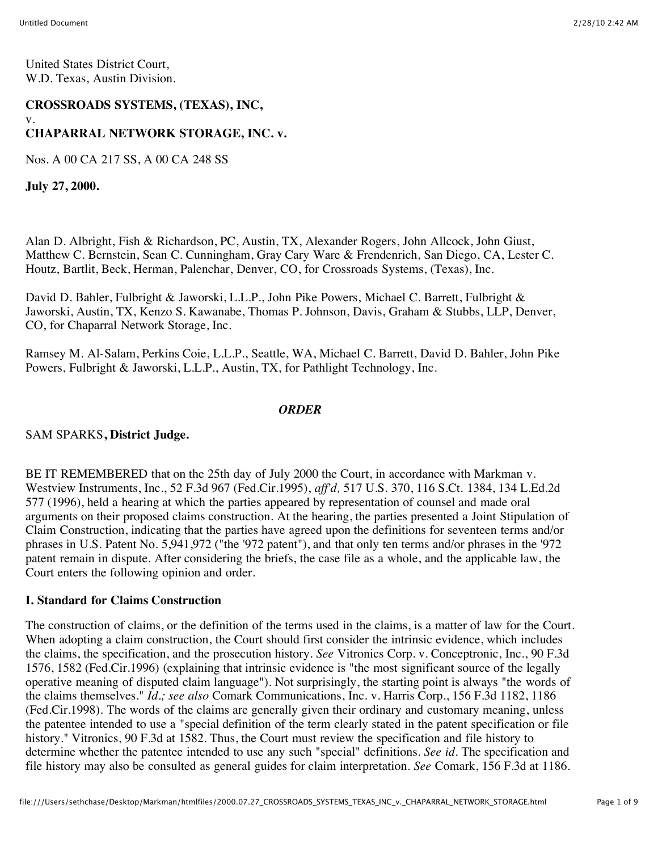#### **CROSSROADS SYSTEMS, (TEXAS), INC,** v.

# **CHAPARRAL NETWORK STORAGE, INC. v.**

Nos. A 00 CA 217 SS, A 00 CA 248 SS

**July 27, 2000.**

Alan D. Albright, Fish & Richardson, PC, Austin, TX, Alexander Rogers, John Allcock, John Giust, Matthew C. Bernstein, Sean C. Cunningham, Gray Cary Ware & Frendenrich, San Diego, CA, Lester C. Houtz, Bartlit, Beck, Herman, Palenchar, Denver, CO, for Crossroads Systems, (Texas), Inc.

David D. Bahler, Fulbright & Jaworski, L.L.P., John Pike Powers, Michael C. Barrett, Fulbright & Jaworski, Austin, TX, Kenzo S. Kawanabe, Thomas P. Johnson, Davis, Graham & Stubbs, LLP, Denver, CO, for Chaparral Network Storage, Inc.

Ramsey M. Al-Salam, Perkins Coie, L.L.P., Seattle, WA, Michael C. Barrett, David D. Bahler, John Pike Powers, Fulbright & Jaworski, L.L.P., Austin, TX, for Pathlight Technology, Inc.

#### *ORDER*

### SAM SPARKS**, District Judge.**

BE IT REMEMBERED that on the 25th day of July 2000 the Court, in accordance with Markman v. Westview Instruments, Inc., 52 F.3d 967 (Fed.Cir.1995), *aff'd,* 517 U.S. 370, 116 S.Ct. 1384, 134 L.Ed.2d 577 (1996), held a hearing at which the parties appeared by representation of counsel and made oral arguments on their proposed claims construction. At the hearing, the parties presented a Joint Stipulation of Claim Construction, indicating that the parties have agreed upon the definitions for seventeen terms and/or phrases in U.S. Patent No. 5,941,972 ("the '972 patent"), and that only ten terms and/or phrases in the '972 patent remain in dispute. After considering the briefs, the case file as a whole, and the applicable law, the Court enters the following opinion and order.

### **I. Standard for Claims Construction**

The construction of claims, or the definition of the terms used in the claims, is a matter of law for the Court. When adopting a claim construction, the Court should first consider the intrinsic evidence, which includes the claims, the specification, and the prosecution history. *See* Vitronics Corp. v. Conceptronic, Inc., 90 F.3d 1576, 1582 (Fed.Cir.1996) (explaining that intrinsic evidence is "the most significant source of the legally operative meaning of disputed claim language"). Not surprisingly, the starting point is always "the words of the claims themselves." *Id.; see also* Comark Communications, Inc. v. Harris Corp., 156 F.3d 1182, 1186 (Fed.Cir.1998). The words of the claims are generally given their ordinary and customary meaning, unless the patentee intended to use a "special definition of the term clearly stated in the patent specification or file history." Vitronics, 90 F.3d at 1582. Thus, the Court must review the specification and file history to determine whether the patentee intended to use any such "special" definitions. *See id.* The specification and file history may also be consulted as general guides for claim interpretation. *See* Comark, 156 F.3d at 1186.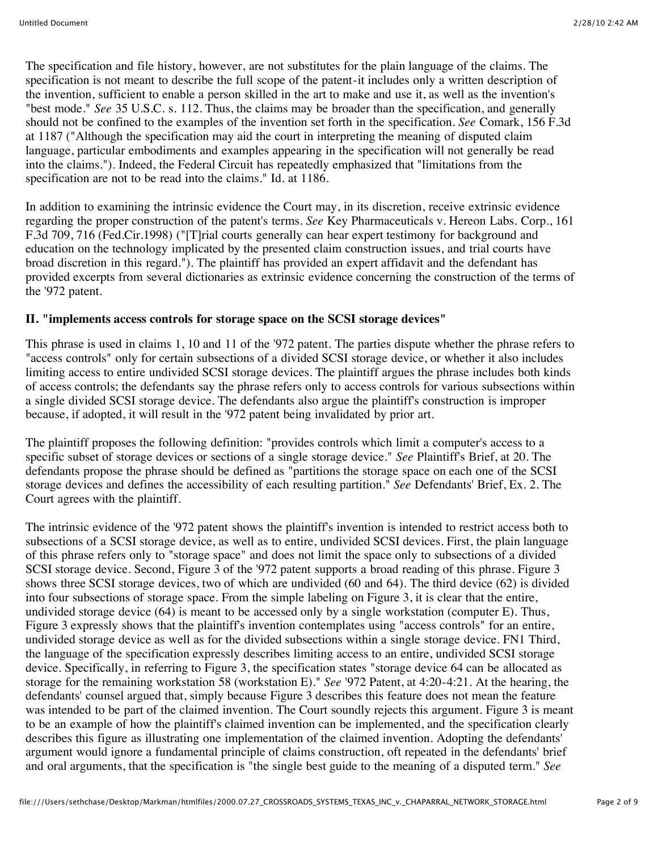The specification and file history, however, are not substitutes for the plain language of the claims. The specification is not meant to describe the full scope of the patent-it includes only a written description of the invention, sufficient to enable a person skilled in the art to make and use it, as well as the invention's "best mode." *See* 35 U.S.C. s. 112. Thus, the claims may be broader than the specification, and generally should not be confined to the examples of the invention set forth in the specification. *See* Comark, 156 F.3d at 1187 ("Although the specification may aid the court in interpreting the meaning of disputed claim language, particular embodiments and examples appearing in the specification will not generally be read into the claims."). Indeed, the Federal Circuit has repeatedly emphasized that "limitations from the specification are not to be read into the claims." Id. at 1186.

In addition to examining the intrinsic evidence the Court may, in its discretion, receive extrinsic evidence regarding the proper construction of the patent's terms. *See* Key Pharmaceuticals v. Hereon Labs. Corp., 161 F.3d 709, 716 (Fed.Cir.1998) ("[T]rial courts generally can hear expert testimony for background and education on the technology implicated by the presented claim construction issues, and trial courts have broad discretion in this regard."). The plaintiff has provided an expert affidavit and the defendant has provided excerpts from several dictionaries as extrinsic evidence concerning the construction of the terms of the '972 patent.

### **II. "implements access controls for storage space on the SCSI storage devices"**

This phrase is used in claims 1, 10 and 11 of the '972 patent. The parties dispute whether the phrase refers to "access controls" only for certain subsections of a divided SCSI storage device, or whether it also includes limiting access to entire undivided SCSI storage devices. The plaintiff argues the phrase includes both kinds of access controls; the defendants say the phrase refers only to access controls for various subsections within a single divided SCSI storage device. The defendants also argue the plaintiff's construction is improper because, if adopted, it will result in the '972 patent being invalidated by prior art.

The plaintiff proposes the following definition: "provides controls which limit a computer's access to a specific subset of storage devices or sections of a single storage device." *See* Plaintiff's Brief, at 20. The defendants propose the phrase should be defined as "partitions the storage space on each one of the SCSI storage devices and defines the accessibility of each resulting partition." *See* Defendants' Brief, Ex. 2. The Court agrees with the plaintiff.

The intrinsic evidence of the '972 patent shows the plaintiff's invention is intended to restrict access both to subsections of a SCSI storage device, as well as to entire, undivided SCSI devices. First, the plain language of this phrase refers only to "storage space" and does not limit the space only to subsections of a divided SCSI storage device. Second, Figure 3 of the '972 patent supports a broad reading of this phrase. Figure 3 shows three SCSI storage devices, two of which are undivided (60 and 64). The third device (62) is divided into four subsections of storage space. From the simple labeling on Figure 3, it is clear that the entire, undivided storage device (64) is meant to be accessed only by a single workstation (computer E). Thus, Figure 3 expressly shows that the plaintiff's invention contemplates using "access controls" for an entire, undivided storage device as well as for the divided subsections within a single storage device. FN1 Third, the language of the specification expressly describes limiting access to an entire, undivided SCSI storage device. Specifically, in referring to Figure 3, the specification states "storage device 64 can be allocated as storage for the remaining workstation 58 (workstation E)." *See* '972 Patent, at 4:20-4:21. At the hearing, the defendants' counsel argued that, simply because Figure 3 describes this feature does not mean the feature was intended to be part of the claimed invention. The Court soundly rejects this argument. Figure 3 is meant to be an example of how the plaintiff's claimed invention can be implemented, and the specification clearly describes this figure as illustrating one implementation of the claimed invention. Adopting the defendants' argument would ignore a fundamental principle of claims construction, oft repeated in the defendants' brief and oral arguments, that the specification is "the single best guide to the meaning of a disputed term." *See*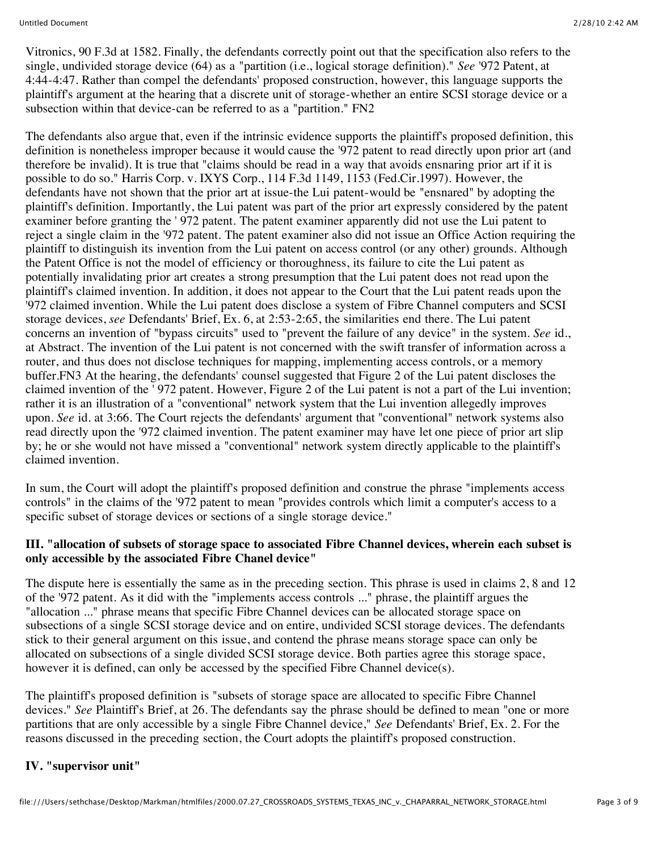Vitronics, 90 F.3d at 1582. Finally, the defendants correctly point out that the specification also refers to the single, undivided storage device (64) as a "partition (i.e., logical storage definition)." *See* '972 Patent, at 4:44-4:47. Rather than compel the defendants' proposed construction, however, this language supports the plaintiff's argument at the hearing that a discrete unit of storage-whether an entire SCSI storage device or a subsection within that device-can be referred to as a "partition." FN2

The defendants also argue that, even if the intrinsic evidence supports the plaintiff's proposed definition, this definition is nonetheless improper because it would cause the '972 patent to read directly upon prior art (and therefore be invalid). It is true that "claims should be read in a way that avoids ensnaring prior art if it is possible to do so." Harris Corp. v. IXYS Corp., 114 F.3d 1149, 1153 (Fed.Cir.1997). However, the defendants have not shown that the prior art at issue-the Lui patent-would be "ensnared" by adopting the plaintiff's definition. Importantly, the Lui patent was part of the prior art expressly considered by the patent examiner before granting the ' 972 patent. The patent examiner apparently did not use the Lui patent to reject a single claim in the '972 patent. The patent examiner also did not issue an Office Action requiring the plaintiff to distinguish its invention from the Lui patent on access control (or any other) grounds. Although the Patent Office is not the model of efficiency or thoroughness, its failure to cite the Lui patent as potentially invalidating prior art creates a strong presumption that the Lui patent does not read upon the plaintiff's claimed invention. In addition, it does not appear to the Court that the Lui patent reads upon the '972 claimed invention. While the Lui patent does disclose a system of Fibre Channel computers and SCSI storage devices, *see* Defendants' Brief, Ex. 6, at 2:53-2:65, the similarities end there. The Lui patent concerns an invention of "bypass circuits" used to "prevent the failure of any device" in the system. *See* id., at Abstract. The invention of the Lui patent is not concerned with the swift transfer of information across a router, and thus does not disclose techniques for mapping, implementing access controls, or a memory buffer.FN3 At the hearing, the defendants' counsel suggested that Figure 2 of the Lui patent discloses the claimed invention of the ' 972 patent. However, Figure 2 of the Lui patent is not a part of the Lui invention; rather it is an illustration of a "conventional" network system that the Lui invention allegedly improves upon. *See* id. at 3:66. The Court rejects the defendants' argument that "conventional" network systems also read directly upon the '972 claimed invention. The patent examiner may have let one piece of prior art slip by; he or she would not have missed a "conventional" network system directly applicable to the plaintiff's claimed invention.

In sum, the Court will adopt the plaintiff's proposed definition and construe the phrase "implements access controls" in the claims of the '972 patent to mean "provides controls which limit a computer's access to a specific subset of storage devices or sections of a single storage device."

# **III. "allocation of subsets of storage space to associated Fibre Channel devices, wherein each subset is only accessible by the associated Fibre Chanel device"**

The dispute here is essentially the same as in the preceding section. This phrase is used in claims 2, 8 and 12 of the '972 patent. As it did with the "implements access controls ..." phrase, the plaintiff argues the "allocation ..." phrase means that specific Fibre Channel devices can be allocated storage space on subsections of a single SCSI storage device and on entire, undivided SCSI storage devices. The defendants stick to their general argument on this issue, and contend the phrase means storage space can only be allocated on subsections of a single divided SCSI storage device. Both parties agree this storage space, however it is defined, can only be accessed by the specified Fibre Channel device(s).

The plaintiff's proposed definition is "subsets of storage space are allocated to specific Fibre Channel devices." *See* Plaintiff's Brief, at 26. The defendants say the phrase should be defined to mean "one or more partitions that are only accessible by a single Fibre Channel device," *See* Defendants' Brief, Ex. 2. For the reasons discussed in the preceding section, the Court adopts the plaintiff's proposed construction.

### **IV. "supervisor unit"**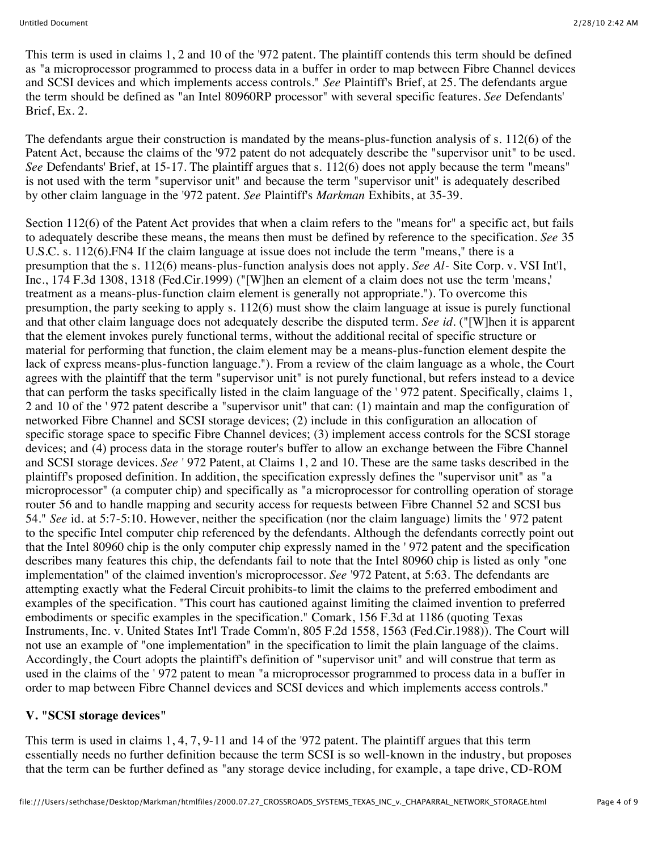This term is used in claims 1, 2 and 10 of the '972 patent. The plaintiff contends this term should be defined as "a microprocessor programmed to process data in a buffer in order to map between Fibre Channel devices and SCSI devices and which implements access controls." *See* Plaintiff's Brief, at 25. The defendants argue the term should be defined as "an Intel 80960RP processor" with several specific features. *See* Defendants' Brief, Ex. 2.

The defendants argue their construction is mandated by the means-plus-function analysis of s. 112(6) of the Patent Act, because the claims of the '972 patent do not adequately describe the "supervisor unit" to be used. *See* Defendants' Brief, at 15-17. The plaintiff argues that s. 112(6) does not apply because the term "means" is not used with the term "supervisor unit" and because the term "supervisor unit" is adequately described by other claim language in the '972 patent. *See* Plaintiff's *Markman* Exhibits, at 35-39.

Section 112(6) of the Patent Act provides that when a claim refers to the "means for" a specific act, but fails to adequately describe these means, the means then must be defined by reference to the specification. *See* 35 U.S.C. s. 112(6).FN4 If the claim language at issue does not include the term "means," there is a presumption that the s. 112(6) means-plus-function analysis does not apply. *See Al-* Site Corp. v. VSI Int'l, Inc., 174 F.3d 1308, 1318 (Fed.Cir.1999) ("[W]hen an element of a claim does not use the term 'means,' treatment as a means-plus-function claim element is generally not appropriate."). To overcome this presumption, the party seeking to apply s. 112(6) must show the claim language at issue is purely functional and that other claim language does not adequately describe the disputed term. *See id.* ("[W]hen it is apparent that the element invokes purely functional terms, without the additional recital of specific structure or material for performing that function, the claim element may be a means-plus-function element despite the lack of express means-plus-function language."). From a review of the claim language as a whole, the Court agrees with the plaintiff that the term "supervisor unit" is not purely functional, but refers instead to a device that can perform the tasks specifically listed in the claim language of the ' 972 patent. Specifically, claims 1, 2 and 10 of the ' 972 patent describe a "supervisor unit" that can: (1) maintain and map the configuration of networked Fibre Channel and SCSI storage devices; (2) include in this configuration an allocation of specific storage space to specific Fibre Channel devices; (3) implement access controls for the SCSI storage devices; and (4) process data in the storage router's buffer to allow an exchange between the Fibre Channel and SCSI storage devices. *See* ' 972 Patent, at Claims 1, 2 and 10. These are the same tasks described in the plaintiff's proposed definition. In addition, the specification expressly defines the "supervisor unit" as "a microprocessor" (a computer chip) and specifically as "a microprocessor for controlling operation of storage router 56 and to handle mapping and security access for requests between Fibre Channel 52 and SCSI bus 54." *See* id. at 5:7-5:10. However, neither the specification (nor the claim language) limits the ' 972 patent to the specific Intel computer chip referenced by the defendants. Although the defendants correctly point out that the Intel 80960 chip is the only computer chip expressly named in the ' 972 patent and the specification describes many features this chip, the defendants fail to note that the Intel 80960 chip is listed as only "one implementation" of the claimed invention's microprocessor. *See* '972 Patent, at 5:63. The defendants are attempting exactly what the Federal Circuit prohibits-to limit the claims to the preferred embodiment and examples of the specification. "This court has cautioned against limiting the claimed invention to preferred embodiments or specific examples in the specification." Comark, 156 F.3d at 1186 (quoting Texas Instruments, Inc. v. United States Int'l Trade Comm'n, 805 F.2d 1558, 1563 (Fed.Cir.1988)). The Court will not use an example of "one implementation" in the specification to limit the plain language of the claims. Accordingly, the Court adopts the plaintiff's definition of "supervisor unit" and will construe that term as used in the claims of the ' 972 patent to mean "a microprocessor programmed to process data in a buffer in order to map between Fibre Channel devices and SCSI devices and which implements access controls."

#### **V. "SCSI storage devices"**

This term is used in claims 1, 4, 7, 9-11 and 14 of the '972 patent. The plaintiff argues that this term essentially needs no further definition because the term SCSI is so well-known in the industry, but proposes that the term can be further defined as "any storage device including, for example, a tape drive, CD-ROM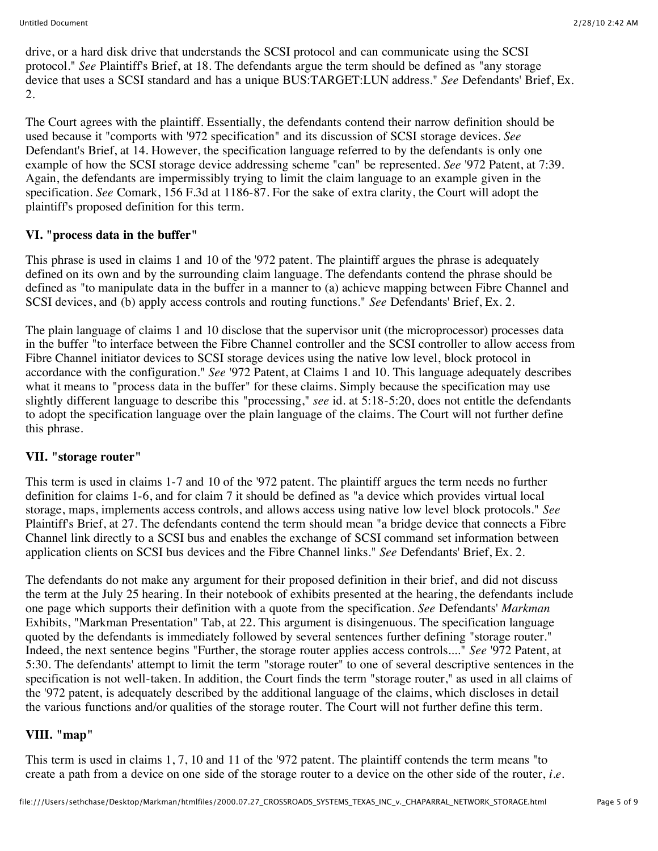drive, or a hard disk drive that understands the SCSI protocol and can communicate using the SCSI protocol." *See* Plaintiff's Brief, at 18. The defendants argue the term should be defined as "any storage device that uses a SCSI standard and has a unique BUS:TARGET:LUN address." *See* Defendants' Brief, Ex. 2.

The Court agrees with the plaintiff. Essentially, the defendants contend their narrow definition should be used because it "comports with '972 specification" and its discussion of SCSI storage devices. *See* Defendant's Brief, at 14. However, the specification language referred to by the defendants is only one example of how the SCSI storage device addressing scheme "can" be represented. *See* '972 Patent, at 7:39. Again, the defendants are impermissibly trying to limit the claim language to an example given in the specification. *See* Comark, 156 F.3d at 1186-87. For the sake of extra clarity, the Court will adopt the plaintiff's proposed definition for this term.

# **VI. "process data in the buffer"**

This phrase is used in claims 1 and 10 of the '972 patent. The plaintiff argues the phrase is adequately defined on its own and by the surrounding claim language. The defendants contend the phrase should be defined as "to manipulate data in the buffer in a manner to (a) achieve mapping between Fibre Channel and SCSI devices, and (b) apply access controls and routing functions." *See* Defendants' Brief, Ex. 2.

The plain language of claims 1 and 10 disclose that the supervisor unit (the microprocessor) processes data in the buffer "to interface between the Fibre Channel controller and the SCSI controller to allow access from Fibre Channel initiator devices to SCSI storage devices using the native low level, block protocol in accordance with the configuration." *See* '972 Patent, at Claims 1 and 10. This language adequately describes what it means to "process data in the buffer" for these claims. Simply because the specification may use slightly different language to describe this "processing," *see* id. at 5:18-5:20, does not entitle the defendants to adopt the specification language over the plain language of the claims. The Court will not further define this phrase.

### **VII. "storage router"**

This term is used in claims 1-7 and 10 of the '972 patent. The plaintiff argues the term needs no further definition for claims 1-6, and for claim 7 it should be defined as "a device which provides virtual local storage, maps, implements access controls, and allows access using native low level block protocols." *See* Plaintiff's Brief, at 27. The defendants contend the term should mean "a bridge device that connects a Fibre Channel link directly to a SCSI bus and enables the exchange of SCSI command set information between application clients on SCSI bus devices and the Fibre Channel links." *See* Defendants' Brief, Ex. 2.

The defendants do not make any argument for their proposed definition in their brief, and did not discuss the term at the July 25 hearing. In their notebook of exhibits presented at the hearing, the defendants include one page which supports their definition with a quote from the specification. *See* Defendants' *Markman* Exhibits, "Markman Presentation" Tab, at 22. This argument is disingenuous. The specification language quoted by the defendants is immediately followed by several sentences further defining "storage router." Indeed, the next sentence begins "Further, the storage router applies access controls...." *See* '972 Patent, at 5:30. The defendants' attempt to limit the term "storage router" to one of several descriptive sentences in the specification is not well-taken. In addition, the Court finds the term "storage router," as used in all claims of the '972 patent, is adequately described by the additional language of the claims, which discloses in detail the various functions and/or qualities of the storage router. The Court will not further define this term.

# **VIII. "map"**

This term is used in claims 1, 7, 10 and 11 of the '972 patent. The plaintiff contends the term means "to create a path from a device on one side of the storage router to a device on the other side of the router, *i.e.*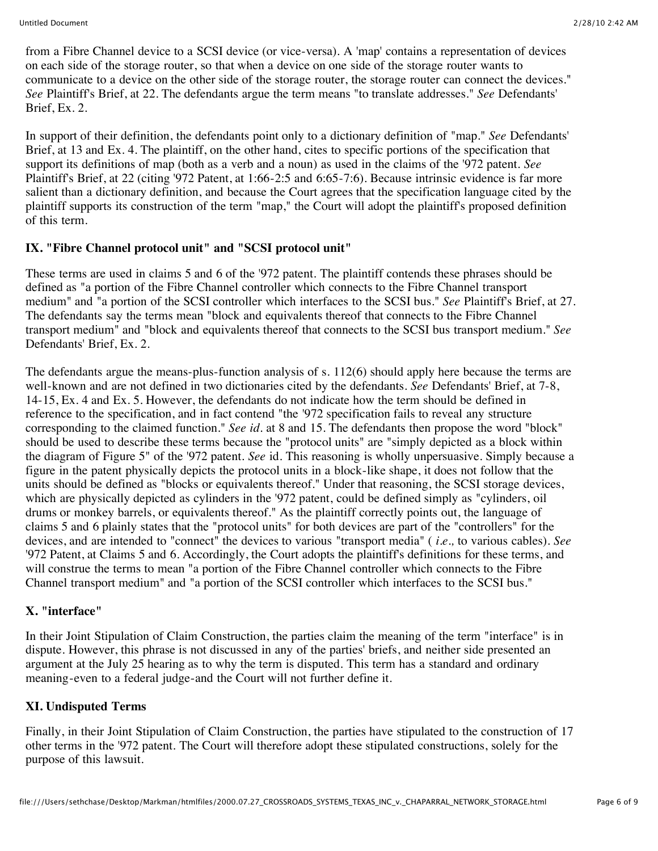from a Fibre Channel device to a SCSI device (or vice-versa). A 'map' contains a representation of devices on each side of the storage router, so that when a device on one side of the storage router wants to communicate to a device on the other side of the storage router, the storage router can connect the devices." *See* Plaintiff's Brief, at 22. The defendants argue the term means "to translate addresses." *See* Defendants' Brief, Ex. 2.

In support of their definition, the defendants point only to a dictionary definition of "map." *See* Defendants' Brief, at 13 and Ex. 4. The plaintiff, on the other hand, cites to specific portions of the specification that support its definitions of map (both as a verb and a noun) as used in the claims of the '972 patent. *See* Plaintiff's Brief, at 22 (citing '972 Patent, at 1:66-2:5 and 6:65-7:6). Because intrinsic evidence is far more salient than a dictionary definition, and because the Court agrees that the specification language cited by the plaintiff supports its construction of the term "map," the Court will adopt the plaintiff's proposed definition of this term.

# **IX. "Fibre Channel protocol unit" and "SCSI protocol unit"**

These terms are used in claims 5 and 6 of the '972 patent. The plaintiff contends these phrases should be defined as "a portion of the Fibre Channel controller which connects to the Fibre Channel transport medium" and "a portion of the SCSI controller which interfaces to the SCSI bus." *See* Plaintiff's Brief, at 27. The defendants say the terms mean "block and equivalents thereof that connects to the Fibre Channel transport medium" and "block and equivalents thereof that connects to the SCSI bus transport medium." *See* Defendants' Brief, Ex. 2.

The defendants argue the means-plus-function analysis of s. 112(6) should apply here because the terms are well-known and are not defined in two dictionaries cited by the defendants. *See* Defendants' Brief, at 7-8, 14-15, Ex. 4 and Ex. 5. However, the defendants do not indicate how the term should be defined in reference to the specification, and in fact contend "the '972 specification fails to reveal any structure corresponding to the claimed function." *See id.* at 8 and 15. The defendants then propose the word "block" should be used to describe these terms because the "protocol units" are "simply depicted as a block within the diagram of Figure 5" of the '972 patent. *See* id. This reasoning is wholly unpersuasive. Simply because a figure in the patent physically depicts the protocol units in a block-like shape, it does not follow that the units should be defined as "blocks or equivalents thereof." Under that reasoning, the SCSI storage devices, which are physically depicted as cylinders in the '972 patent, could be defined simply as "cylinders, oil drums or monkey barrels, or equivalents thereof." As the plaintiff correctly points out, the language of claims 5 and 6 plainly states that the "protocol units" for both devices are part of the "controllers" for the devices, and are intended to "connect" the devices to various "transport media" ( *i.e.,* to various cables). *See* '972 Patent, at Claims 5 and 6. Accordingly, the Court adopts the plaintiff's definitions for these terms, and will construe the terms to mean "a portion of the Fibre Channel controller which connects to the Fibre Channel transport medium" and "a portion of the SCSI controller which interfaces to the SCSI bus."

# **X. "interface"**

In their Joint Stipulation of Claim Construction, the parties claim the meaning of the term "interface" is in dispute. However, this phrase is not discussed in any of the parties' briefs, and neither side presented an argument at the July 25 hearing as to why the term is disputed. This term has a standard and ordinary meaning-even to a federal judge-and the Court will not further define it.

# **XI. Undisputed Terms**

Finally, in their Joint Stipulation of Claim Construction, the parties have stipulated to the construction of 17 other terms in the '972 patent. The Court will therefore adopt these stipulated constructions, solely for the purpose of this lawsuit.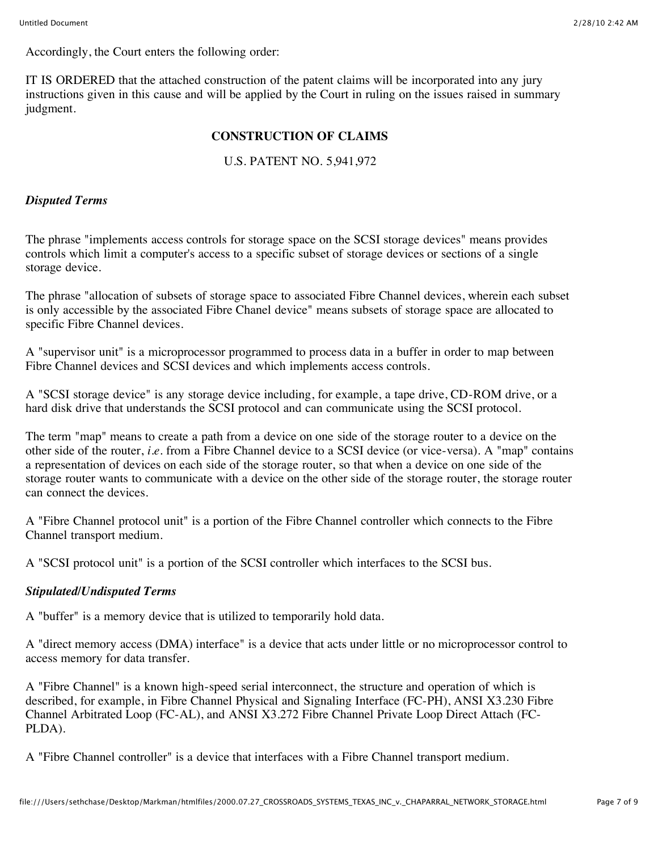Accordingly, the Court enters the following order:

IT IS ORDERED that the attached construction of the patent claims will be incorporated into any jury instructions given in this cause and will be applied by the Court in ruling on the issues raised in summary judgment.

# **CONSTRUCTION OF CLAIMS**

# U.S. PATENT NO. 5,941,972

#### *Disputed Terms*

The phrase "implements access controls for storage space on the SCSI storage devices" means provides controls which limit a computer's access to a specific subset of storage devices or sections of a single storage device.

The phrase "allocation of subsets of storage space to associated Fibre Channel devices, wherein each subset is only accessible by the associated Fibre Chanel device" means subsets of storage space are allocated to specific Fibre Channel devices.

A "supervisor unit" is a microprocessor programmed to process data in a buffer in order to map between Fibre Channel devices and SCSI devices and which implements access controls.

A "SCSI storage device" is any storage device including, for example, a tape drive, CD-ROM drive, or a hard disk drive that understands the SCSI protocol and can communicate using the SCSI protocol.

The term "map" means to create a path from a device on one side of the storage router to a device on the other side of the router, *i.e.* from a Fibre Channel device to a SCSI device (or vice-versa). A "map" contains a representation of devices on each side of the storage router, so that when a device on one side of the storage router wants to communicate with a device on the other side of the storage router, the storage router can connect the devices.

A "Fibre Channel protocol unit" is a portion of the Fibre Channel controller which connects to the Fibre Channel transport medium.

A "SCSI protocol unit" is a portion of the SCSI controller which interfaces to the SCSI bus.

### *Stipulated/Undisputed Terms*

A "buffer" is a memory device that is utilized to temporarily hold data.

A "direct memory access (DMA) interface" is a device that acts under little or no microprocessor control to access memory for data transfer.

A "Fibre Channel" is a known high-speed serial interconnect, the structure and operation of which is described, for example, in Fibre Channel Physical and Signaling Interface (FC-PH), ANSI X3.230 Fibre Channel Arbitrated Loop (FC-AL), and ANSI X3.272 Fibre Channel Private Loop Direct Attach (FC-PLDA).

A "Fibre Channel controller" is a device that interfaces with a Fibre Channel transport medium.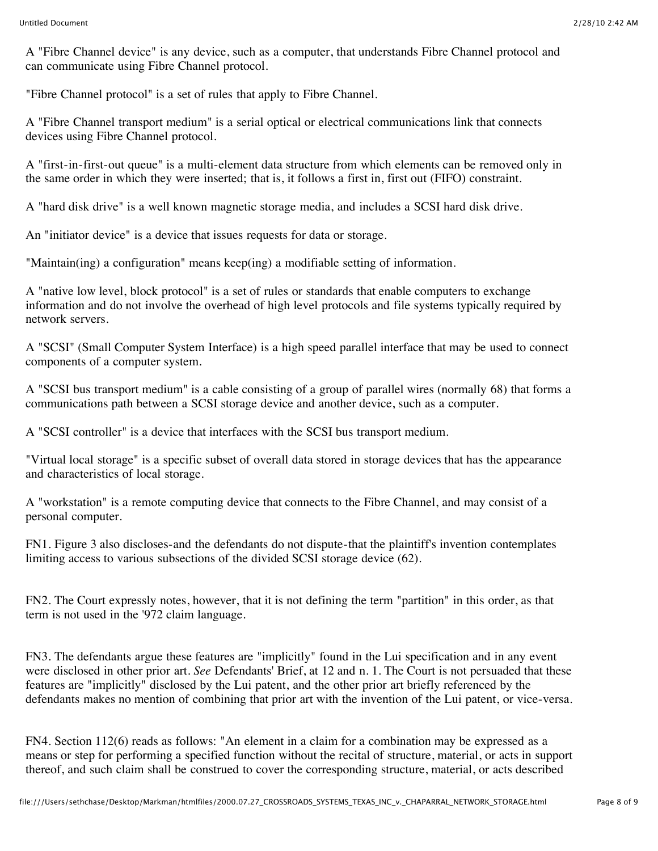A "Fibre Channel device" is any device, such as a computer, that understands Fibre Channel protocol and can communicate using Fibre Channel protocol.

"Fibre Channel protocol" is a set of rules that apply to Fibre Channel.

A "Fibre Channel transport medium" is a serial optical or electrical communications link that connects devices using Fibre Channel protocol.

A "first-in-first-out queue" is a multi-element data structure from which elements can be removed only in the same order in which they were inserted; that is, it follows a first in, first out (FIFO) constraint.

A "hard disk drive" is a well known magnetic storage media, and includes a SCSI hard disk drive.

An "initiator device" is a device that issues requests for data or storage.

"Maintain(ing) a configuration" means keep(ing) a modifiable setting of information.

A "native low level, block protocol" is a set of rules or standards that enable computers to exchange information and do not involve the overhead of high level protocols and file systems typically required by network servers.

A "SCSI" (Small Computer System Interface) is a high speed parallel interface that may be used to connect components of a computer system.

A "SCSI bus transport medium" is a cable consisting of a group of parallel wires (normally 68) that forms a communications path between a SCSI storage device and another device, such as a computer.

A "SCSI controller" is a device that interfaces with the SCSI bus transport medium.

"Virtual local storage" is a specific subset of overall data stored in storage devices that has the appearance and characteristics of local storage.

A "workstation" is a remote computing device that connects to the Fibre Channel, and may consist of a personal computer.

FN1. Figure 3 also discloses-and the defendants do not dispute-that the plaintiff's invention contemplates limiting access to various subsections of the divided SCSI storage device (62).

FN2. The Court expressly notes, however, that it is not defining the term "partition" in this order, as that term is not used in the '972 claim language.

FN3. The defendants argue these features are "implicitly" found in the Lui specification and in any event were disclosed in other prior art. *See* Defendants' Brief, at 12 and n. 1. The Court is not persuaded that these features are "implicitly" disclosed by the Lui patent, and the other prior art briefly referenced by the defendants makes no mention of combining that prior art with the invention of the Lui patent, or vice-versa.

FN4. Section 112(6) reads as follows: "An element in a claim for a combination may be expressed as a means or step for performing a specified function without the recital of structure, material, or acts in support thereof, and such claim shall be construed to cover the corresponding structure, material, or acts described